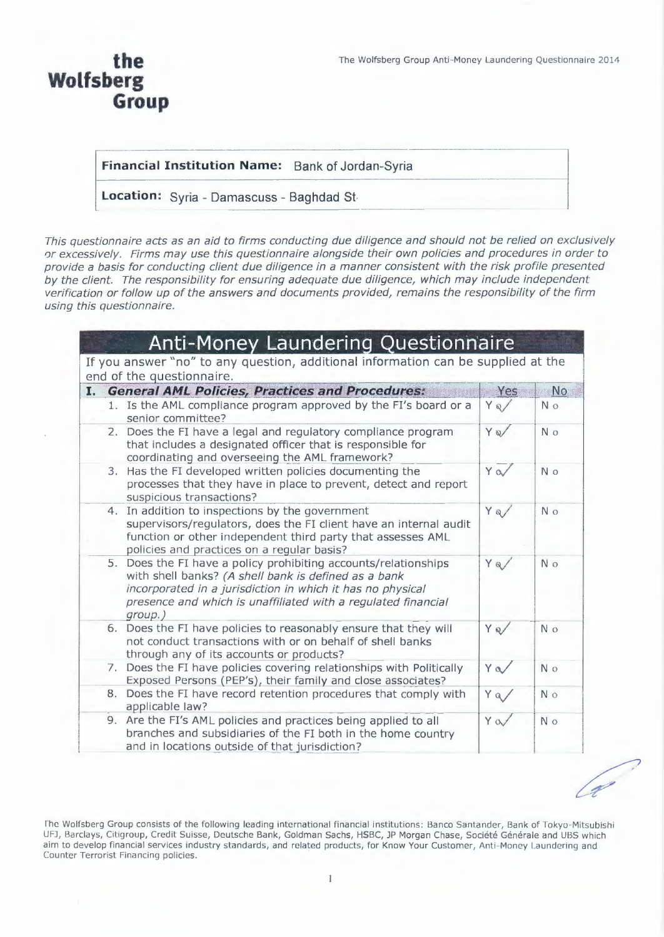a Contract Contract Contract Contract Contract Contract Contract Contract Contract Contract Contract Contract Contract Contract Contract Contract Contract Contract Contract Contract Contract Contract Contract Contract Cont

### the Wolfsberg **Group**

#### Financial Institution Name: Bank of Jordan-Syria

Location: Syria - Damascuss - Baghdad St-

This questionnaire acts as an aid to firms conducting due diligence and should not be relied on exclusively or excessively. Firms may use this questionnaire alongside their own policies and procedures in order to provide a basis for conducting client due diligence in a manner consistent with the risk profile presented by the client. The responsibility for ensuring adequate due diligence, which may include independent verification or follow up of the answers and documents provided, remains the responsibility of the firm using this questionnaire.

| <b>Anti-Money Laundering Questionnaire</b>                                                                                                                                                                                                                        |      |                |
|-------------------------------------------------------------------------------------------------------------------------------------------------------------------------------------------------------------------------------------------------------------------|------|----------------|
| If you answer "no" to any question, additional information can be supplied at the<br>end of the questionnaire.                                                                                                                                                    |      |                |
| <b>General AML Policies, Practices and Procedures:</b><br>I.                                                                                                                                                                                                      | Yes  | <b>No</b>      |
| 1. Is the AML compliance program approved by the FI's board or a<br>senior committee?                                                                                                                                                                             | YQ/  | N o            |
| 2. Does the FI have a legal and regulatory compliance program<br>that includes a designated officer that is responsible for<br>coordinating and overseeing the AML framework?                                                                                     | YQ   | N <sub>o</sub> |
| Has the FI developed written policies documenting the<br>3.<br>processes that they have in place to prevent, detect and report<br>suspicious transactions?                                                                                                        | Ya   | N o            |
| 4. In addition to inspections by the government<br>supervisors/regulators, does the FI client have an internal audit<br>function or other independent third party that assesses AML<br>policies and practices on a regular basis?                                 | Y Q/ | N <sub>o</sub> |
| 5. Does the FI have a policy prohibiting accounts/relationships<br>with shell banks? (A shell bank is defined as a bank<br>incorporated in a jurisdiction in which it has no physical<br>presence and which is unaffiliated with a regulated financial<br>group.) | Y Q/ | N o            |
| 6. Does the FI have policies to reasonably ensure that they will<br>not conduct transactions with or on behalf of shell banks<br>through any of its accounts or products?                                                                                         | Y Q/ | N o            |
| 7. Does the FI have policies covering relationships with Politically<br>Exposed Persons (PEP's), their family and close associates?                                                                                                                               | Ya   | N <sub>o</sub> |
| Does the FI have record retention procedures that comply with<br>8.<br>applicable law?                                                                                                                                                                            | Y a/ | N <sub>o</sub> |
| 9. Are the FI's AML policies and practices being applied to all<br>branches and subsidiaries of the FI both in the home country<br>and in locations outside of that jurisdiction?                                                                                 | Ya   | N o            |

The Wolfsberg Group consists of the following leading international financial institutions: Banco Santander, Bank of Tokyo-Mitsubishi UFJ, Barclays, Citigroup, Credit Suisse, Deutsche Bank, Goldman Sachs, HSBC, JP Morgan Chase, Société Générale and UBS which aim to develop financial services industry standards, and related products, for Know Your Customer, Anti-Money Laundering and Counter Terrorist Financing policies.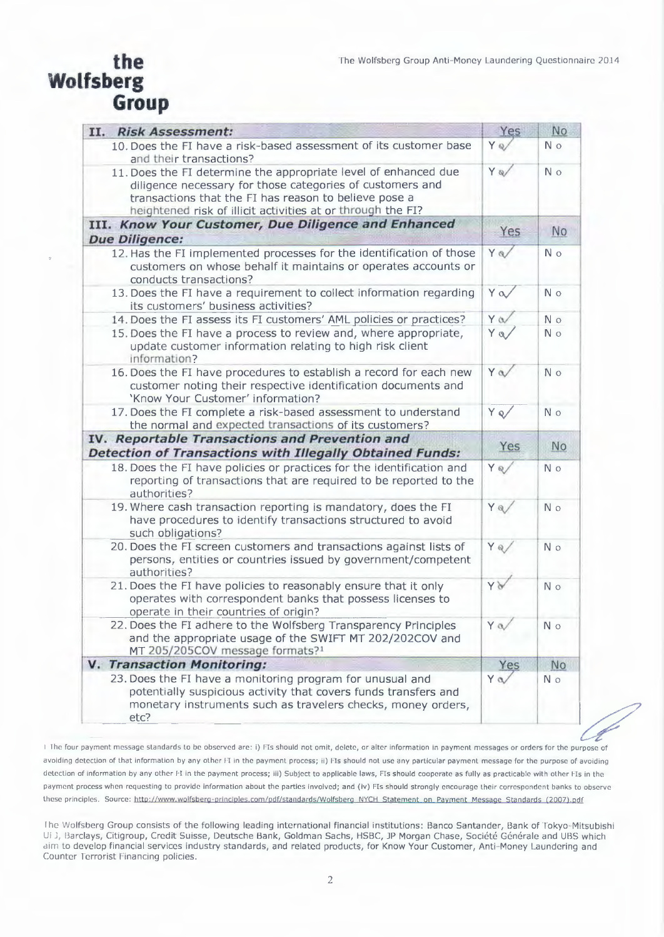## the Wolfsberg **Group**

| II. Risk Assessment:                                                                                                                                                                                                                                 | Yes        | No             |
|------------------------------------------------------------------------------------------------------------------------------------------------------------------------------------------------------------------------------------------------------|------------|----------------|
| 10. Does the FI have a risk-based assessment of its customer base<br>and their transactions?                                                                                                                                                         | Y Q/       | N o            |
| 11. Does the FI determine the appropriate level of enhanced due<br>diligence necessary for those categories of customers and<br>transactions that the FI has reason to believe pose a<br>heightened risk of illicit activities at or through the FI? |            | N o            |
| III. Know Your Customer, Due Diligence and Enhanced                                                                                                                                                                                                  |            |                |
| <b>Due Diligence:</b>                                                                                                                                                                                                                                | Yes        | <b>No</b>      |
| 12. Has the FI implemented processes for the identification of those<br>customers on whose behalf it maintains or operates accounts or<br>conducts transactions?                                                                                     |            | N o            |
| 13. Does the FI have a requirement to collect information regarding<br>its customers' business activities?                                                                                                                                           |            | N o            |
| 14. Does the FI assess its FI customers' AML policies or practices?                                                                                                                                                                                  | $Y \alpha$ | N o            |
| 15. Does the FI have a process to review and, where appropriate,<br>update customer information relating to high risk client<br>information?                                                                                                         | $Y$ a      | N <sub>o</sub> |
| 16. Does the FI have procedures to establish a record for each new<br>customer noting their respective identification documents and<br>'Know Your Customer' information?                                                                             |            | N o            |
| 17. Does the FI complete a risk-based assessment to understand<br>the normal and expected transactions of its customers?                                                                                                                             | Y Q/       | N o            |
| IV. Reportable Transactions and Prevention and<br><b>Detection of Transactions with Illegally Obtained Funds:</b>                                                                                                                                    |            | No             |
| 18. Does the FI have policies or practices for the identification and<br>reporting of transactions that are required to be reported to the<br>authorities?                                                                                           |            | N o            |
| 19. Where cash transaction reporting is mandatory, does the FI<br>have procedures to identify transactions structured to avoid<br>such obligations?                                                                                                  |            | N o            |
| 20. Does the FI screen customers and transactions against lists of<br>persons, entities or countries issued by government/competent<br>authorities?                                                                                                  | Y Q/       | N o            |
| 21. Does the FI have policies to reasonably ensure that it only<br>operates with correspondent banks that possess licenses to<br>operate in their countries of origin?                                                                               | YV         | N o            |
| 22. Does the FI adhere to the Wolfsberg Transparency Principles<br>and the appropriate usage of the SWIFT MT 202/202COV and<br>MT 205/205COV message formats?1                                                                                       | Y a/       | N o            |
| V. Transaction Monitoring:                                                                                                                                                                                                                           | Yes        | No             |
| 23. Does the FI have a monitoring program for unusual and<br>potentially suspicious activity that covers funds transfers and<br>monetary instruments such as travelers checks, money orders,<br>etc?                                                 | Ya         | N <sub>o</sub> |

-P I The four payment message standards to be observed are: i) FIs should not omit, delete, or alter information in payment messages or orders for the purpose of avoiding detection of that information by any other FI in the payment process; ii) FIs should not use any particular payment message for the purpose of avoiding detection of information by any other FI in the payment process; iii) Subject to applicable laws, FIs should cooperate as fully as practicable with other FIs in the payment process when requesting to provide information about the parties involved; and (iv) FIs should strongly encourage their correspondent banks to observe these principles. Source: http://www.wolfsberg-principles.com/pdf/standards/Wolfsberg\_NYCH\_Statement\_on\_Payment\_Message\_Standards (2007).pdf

The Wolfsberg Group consists of the following leading international financial institutions: Banco Santander, Bank of Tokyo-Mitsubishi Ui J, Barclays, Citigroup, Credit Suisse, Deutsche Bank, Goldman Sachs, HSBC, JP Morgan Chase, Société Générale and UBS which aim to develop financial services industry standards, and related products, for Know Your Customer, Anti-Money Laundering and Counter Terrorist Financing policies.